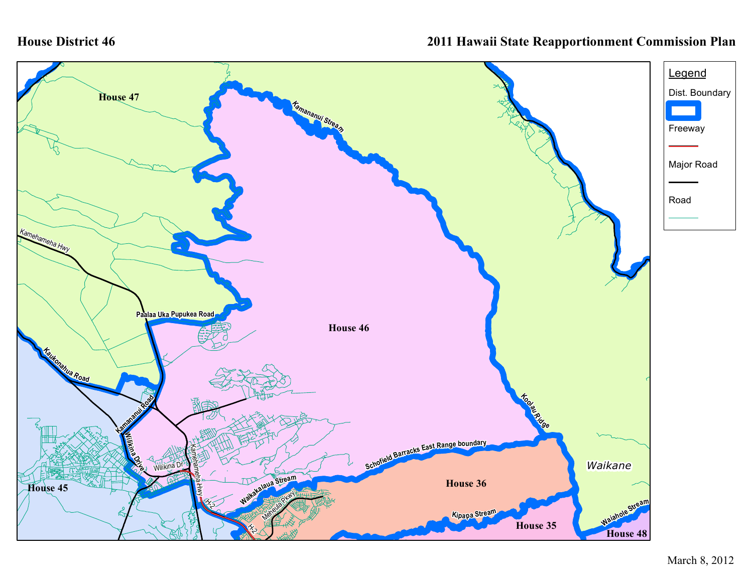## **House District 46**